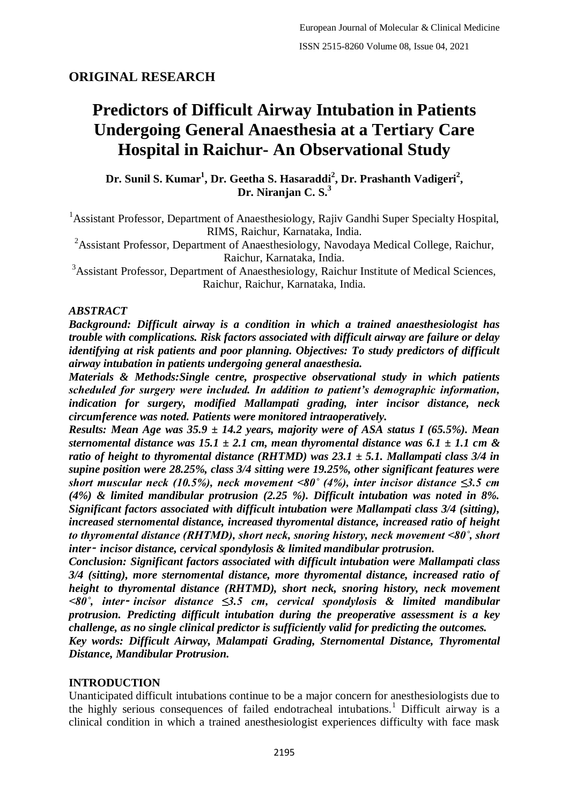## **ORIGINAL RESEARCH**

# **Predictors of Difficult Airway Intubation in Patients Undergoing General Anaesthesia at a Tertiary Care Hospital in Raichur- An Observational Study**

**Dr. Sunil S. Kumar<sup>1</sup> , Dr. Geetha S. Hasaraddi<sup>2</sup> , Dr. Prashanth Vadigeri<sup>2</sup> , Dr. Niranjan C. S.<sup>3</sup>**

<sup>1</sup> Assistant Professor, Department of Anaesthesiology, Rajiv Gandhi Super Specialty Hospital, RIMS, Raichur, Karnataka, India.

<sup>2</sup>Assistant Professor, Department of Anaesthesiology, Navodaya Medical College, Raichur, Raichur, Karnataka, India.

<sup>3</sup>Assistant Professor, Department of Anaesthesiology, Raichur Institute of Medical Sciences, Raichur, Raichur, Karnataka, India.

#### *ABSTRACT*

*Background: Difficult airway is a condition in which a trained anaesthesiologist has trouble with complications. Risk factors associated with difficult airway are failure or delay identifying at risk patients and poor planning. Objectives: To study predictors of difficult airway intubation in patients undergoing general anaesthesia.*

*Materials & Methods:Single centre, prospective observational study in which patients scheduled for surgery were included. In addition to patient's demographic information, indication for surgery, modified Mallampati grading, inter incisor distance, neck circumference was noted. Patients were monitored intraoperatively.*

*Results: Mean Age was 35.9 ± 14.2 years, majority were of ASA status I (65.5%). Mean sternomental distance was 15.1*  $\pm$  2.1 cm, mean thyromental distance was 6.1  $\pm$  1.1 cm & *ratio of height to thyromental distance (RHTMD) was 23.1 ± 5.1. Mallampati class 3/4 in supine position were 28.25%, class 3/4 sitting were 19.25%, other significant features were short muscular neck (10.5%), neck movement <80˚ (4%), inter incisor distance ≤3.5 cm (4%) & limited mandibular protrusion (2.25 %). Difficult intubation was noted in 8%. Significant factors associated with difficult intubation were Mallampati class 3/4 (sitting), increased sternomental distance, increased thyromental distance, increased ratio of height to thyromental distance (RHTMD), short neck, snoring history, neck movement <80˚, short inter*‑ *incisor distance, cervical spondylosis & limited mandibular protrusion.*

*Conclusion: Significant factors associated with difficult intubation were Mallampati class 3/4 (sitting), more sternomental distance, more thyromental distance, increased ratio of height to thyromental distance (RHTMD), short neck, snoring history, neck movement <80˚, inter*‑ *incisor distance ≤3.5 cm, cervical spondylosis & limited mandibular protrusion. Predicting difficult intubation during the preoperative assessment is a key challenge, as no single clinical predictor is sufficiently valid for predicting the outcomes.*

*Key words: Difficult Airway, Malampati Grading, Sternomental Distance, Thyromental Distance, Mandibular Protrusion.*

## **INTRODUCTION**

Unanticipated difficult intubations continue to be a major concern for anesthesiologists due to the highly serious consequences of failed endotracheal intubations.<sup>1</sup> Difficult airway is a clinical condition in which a trained anesthesiologist experiences difficulty with face mask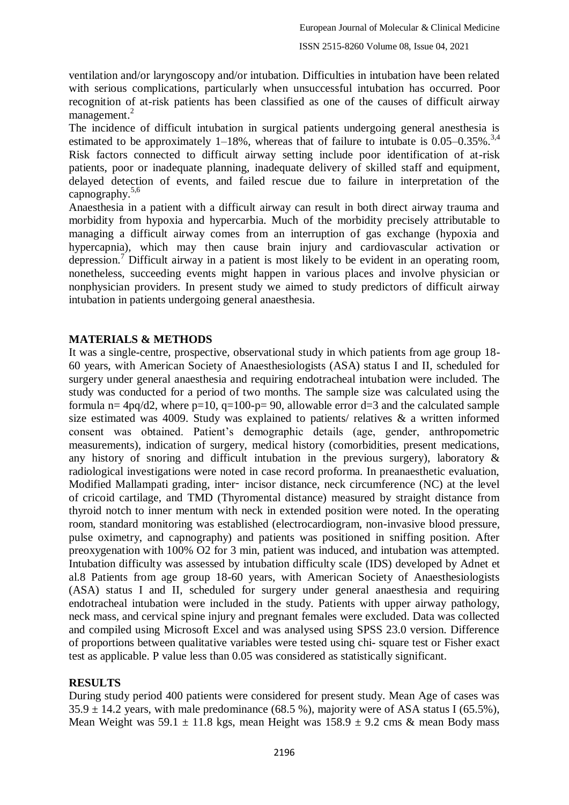ventilation and/or laryngoscopy and/or intubation. Difficulties in intubation have been related with serious complications, particularly when unsuccessful intubation has occurred. Poor recognition of at-risk patients has been classified as one of the causes of difficult airway management.<sup>2</sup>

The incidence of difficult intubation in surgical patients undergoing general anesthesia is estimated to be approximately 1–18%, whereas that of failure to intubate is  $0.05-0.35\%$ .<sup>3,4</sup> Risk factors connected to difficult airway setting include poor identification of at-risk patients, poor or inadequate planning, inadequate delivery of skilled staff and equipment, delayed detection of events, and failed rescue due to failure in interpretation of the capnography. $5,6$ 

Anaesthesia in a patient with a difficult airway can result in both direct airway trauma and morbidity from hypoxia and hypercarbia. Much of the morbidity precisely attributable to managing a difficult airway comes from an interruption of gas exchange (hypoxia and hypercapnia), which may then cause brain injury and cardiovascular activation or depression.<sup>7</sup> Difficult airway in a patient is most likely to be evident in an operating room, nonetheless, succeeding events might happen in various places and involve physician or nonphysician providers. In present study we aimed to study predictors of difficult airway intubation in patients undergoing general anaesthesia.

## **MATERIALS & METHODS**

It was a single-centre, prospective, observational study in which patients from age group 18- 60 years, with American Society of Anaesthesiologists (ASA) status I and II, scheduled for surgery under general anaesthesia and requiring endotracheal intubation were included. The study was conducted for a period of two months. The sample size was calculated using the formula n=  $4pq/d2$ , where p=10, q=100-p= 90, allowable error d=3 and the calculated sample size estimated was 4009. Study was explained to patients/ relatives  $\&$  a written informed consent was obtained. Patient's demographic details (age, gender, anthropometric measurements), indication of surgery, medical history (comorbidities, present medications, any history of snoring and difficult intubation in the previous surgery), laboratory & radiological investigations were noted in case record proforma. In preanaesthetic evaluation, Modified Mallampati grading, inter‑ incisor distance, neck circumference (NC) at the level of cricoid cartilage, and TMD (Thyromental distance) measured by straight distance from thyroid notch to inner mentum with neck in extended position were noted. In the operating room, standard monitoring was established (electrocardiogram, non-invasive blood pressure, pulse oximetry, and capnography) and patients was positioned in sniffing position. After preoxygenation with 100% O2 for 3 min, patient was induced, and intubation was attempted. Intubation difficulty was assessed by intubation difficulty scale (IDS) developed by Adnet et al.8 Patients from age group 18-60 years, with American Society of Anaesthesiologists (ASA) status I and II, scheduled for surgery under general anaesthesia and requiring endotracheal intubation were included in the study. Patients with upper airway pathology, neck mass, and cervical spine injury and pregnant females were excluded. Data was collected and compiled using Microsoft Excel and was analysed using SPSS 23.0 version. Difference of proportions between qualitative variables were tested using chi- square test or Fisher exact test as applicable. P value less than 0.05 was considered as statistically significant.

## **RESULTS**

During study period 400 patients were considered for present study. Mean Age of cases was  $35.9 \pm 14.2$  years, with male predominance (68.5 %), majority were of ASA status I (65.5%), Mean Weight was  $59.1 \pm 11.8$  kgs, mean Height was  $158.9 \pm 9.2$  cms & mean Body mass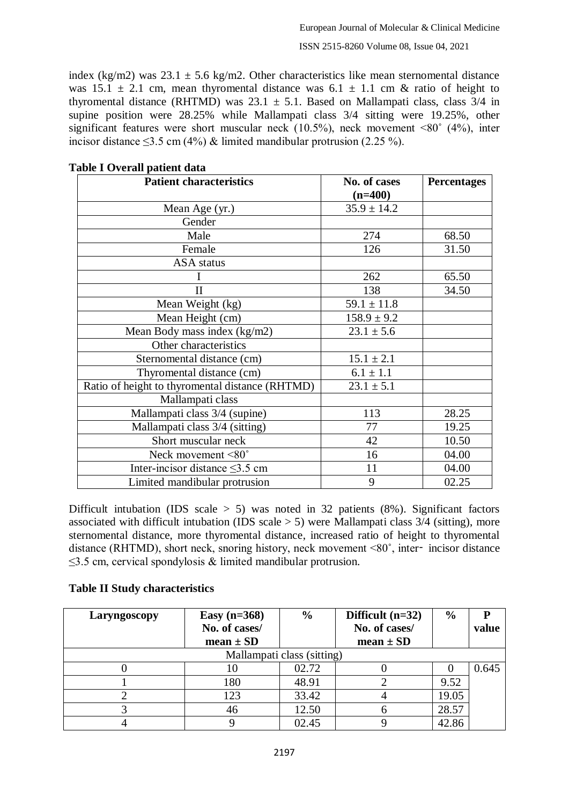index (kg/m2) was  $23.1 \pm 5.6$  kg/m2. Other characteristics like mean sternomental distance was 15.1  $\pm$  2.1 cm, mean thyromental distance was 6.1  $\pm$  1.1 cm & ratio of height to thyromental distance (RHTMD) was  $23.1 \pm 5.1$ . Based on Mallampati class, class  $3/4$  in supine position were 28.25% while Mallampati class 3/4 sitting were 19.25%, other significant features were short muscular neck  $(10.5\%)$ , neck movement <80 $\degree$  (4%), inter incisor distance  $\leq$ 3.5 cm (4%) & limited mandibular protrusion (2.25 %).

| <b>Patient characteristics</b>                  | No. of cases    | <b>Percentages</b> |
|-------------------------------------------------|-----------------|--------------------|
|                                                 | $(n=400)$       |                    |
| Mean Age (yr.)                                  | $35.9 \pm 14.2$ |                    |
| Gender                                          |                 |                    |
| Male                                            | 274             | 68.50              |
| Female                                          | 126             | 31.50              |
| <b>ASA</b> status                               |                 |                    |
|                                                 | 262             | 65.50              |
| П                                               | 138             | 34.50              |
| Mean Weight (kg)                                | $59.1 \pm 11.8$ |                    |
| Mean Height (cm)                                | $158.9 \pm 9.2$ |                    |
| Mean Body mass index (kg/m2)                    | $23.1 \pm 5.6$  |                    |
| Other characteristics                           |                 |                    |
| Sternomental distance (cm)                      | $15.1 \pm 2.1$  |                    |
| Thyromental distance (cm)                       | $6.1 \pm 1.1$   |                    |
| Ratio of height to thyromental distance (RHTMD) | $23.1 \pm 5.1$  |                    |
| Mallampati class                                |                 |                    |
| Mallampati class 3/4 (supine)                   | 113             | 28.25              |
| Mallampati class 3/4 (sitting)                  | 77              | 19.25              |
| Short muscular neck                             | 42              | 10.50              |
| Neck movement <80°                              | 16              | 04.00              |
| Inter-incisor distance $\leq$ 3.5 cm            | 11              | 04.00              |
| Limited mandibular protrusion                   | 9               | 02.25              |

#### **Table I Overall patient data**

Difficult intubation (IDS scale  $> 5$ ) was noted in 32 patients (8%). Significant factors associated with difficult intubation (IDS scale  $> 5$ ) were Mallampati class 3/4 (sitting), more sternomental distance, more thyromental distance, increased ratio of height to thyromental distance (RHTMD), short neck, snoring history, neck movement <80˚, inter‑ incisor distance  $\leq$ 3.5 cm, cervical spondylosis & limited mandibular protrusion.

## **Table II Study characteristics**

| Laryngoscopy               | Easy $(n=368)$ | $\frac{6}{9}$ | Difficult $(n=32)$ | $\%$  | D     |  |  |
|----------------------------|----------------|---------------|--------------------|-------|-------|--|--|
|                            | No. of cases/  |               | No. of cases/      |       | value |  |  |
|                            | $mean \pm SD$  |               | $mean \pm SD$      |       |       |  |  |
| Mallampati class (sitting) |                |               |                    |       |       |  |  |
|                            | 10             | 02.72         |                    |       | 0.645 |  |  |
|                            | 180            | 48.91         |                    | 9.52  |       |  |  |
|                            | 123            | 33.42         |                    | 19.05 |       |  |  |
|                            | 46             | 12.50         |                    | 28.57 |       |  |  |
|                            |                | 02.45         |                    | 42.86 |       |  |  |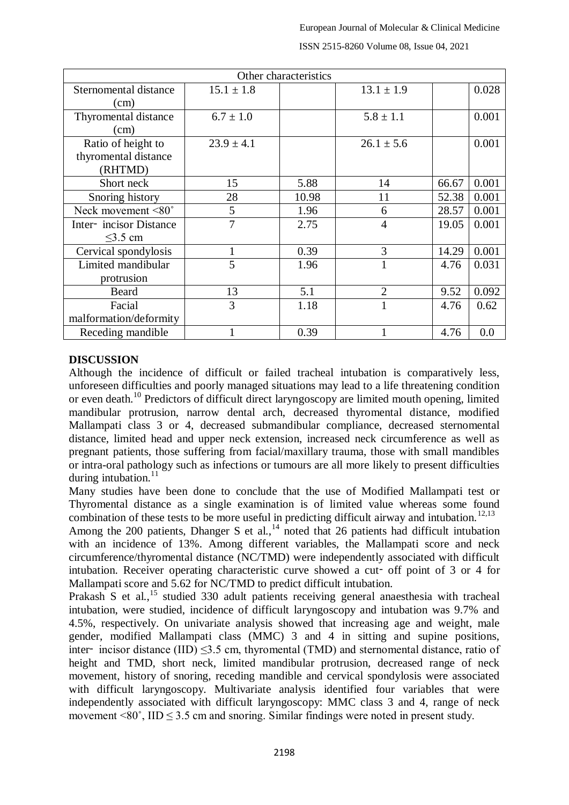| Other characteristics                                 |                |       |                |       |       |  |  |  |
|-------------------------------------------------------|----------------|-------|----------------|-------|-------|--|--|--|
| Sternomental distance<br>(cm)                         | $15.1 \pm 1.8$ |       | $13.1 \pm 1.9$ |       | 0.028 |  |  |  |
| Thyromental distance<br>(cm)                          | $6.7 \pm 1.0$  |       | $5.8 \pm 1.1$  |       | 0.001 |  |  |  |
| Ratio of height to<br>thyromental distance<br>(RHTMD) | $23.9 \pm 4.1$ |       | $26.1 \pm 5.6$ |       | 0.001 |  |  |  |
| Short neck                                            | 15             | 5.88  | 14             | 66.67 | 0.001 |  |  |  |
| Snoring history                                       | 28             | 10.98 | 11             | 52.38 | 0.001 |  |  |  |
| Neck movement <80°                                    | 5              | 1.96  | 6              | 28.57 | 0.001 |  |  |  |
| Inter-incisor Distance<br>$\leq$ 3.5 cm               | 7              | 2.75  | $\overline{4}$ | 19.05 | 0.001 |  |  |  |
| Cervical spondylosis                                  | $\mathbf{1}$   | 0.39  | 3              | 14.29 | 0.001 |  |  |  |
| Limited mandibular<br>protrusion                      | 5              | 1.96  | $\mathbf{1}$   | 4.76  | 0.031 |  |  |  |
| Beard                                                 | 13             | 5.1   | $\overline{2}$ | 9.52  | 0.092 |  |  |  |
| Facial<br>malformation/deformity                      | 3              | 1.18  | 1              | 4.76  | 0.62  |  |  |  |
| Receding mandible                                     |                | 0.39  |                | 4.76  | 0.0   |  |  |  |

ISSN 2515-8260 Volume 08, Issue 04, 2021

### **DISCUSSION**

Although the incidence of difficult or failed tracheal intubation is comparatively less, unforeseen difficulties and poorly managed situations may lead to a life threatening condition or even death.<sup>10</sup> Predictors of difficult direct laryngoscopy are limited mouth opening, limited mandibular protrusion, narrow dental arch, decreased thyromental distance, modified Mallampati class 3 or 4, decreased submandibular compliance, decreased sternomental distance, limited head and upper neck extension, increased neck circumference as well as pregnant patients, those suffering from facial/maxillary trauma, those with small mandibles or intra-oral pathology such as infections or tumours are all more likely to present difficulties during intubation. $^{11}$ 

Many studies have been done to conclude that the use of Modified Mallampati test or Thyromental distance as a single examination is of limited value whereas some found combination of these tests to be more useful in predicting difficult airway and intubation.<sup>12,13</sup>

Among the 200 patients, Dhanger S et al., $\frac{1}{4}$  noted that 26 patients had difficult intubation with an incidence of 13%. Among different variables, the Mallampati score and neck circumference/thyromental distance (NC/TMD) were independently associated with difficult intubation. Receiver operating characteristic curve showed a cut‑ off point of 3 or 4 for Mallampati score and 5.62 for NC/TMD to predict difficult intubation.

Prakash S et al.,<sup>15</sup> studied 330 adult patients receiving general anaesthesia with tracheal intubation, were studied, incidence of difficult laryngoscopy and intubation was 9.7% and 4.5%, respectively. On univariate analysis showed that increasing age and weight, male gender, modified Mallampati class (MMC) 3 and 4 in sitting and supine positions, inter–incisor distance (IID)  $\leq$ 3.5 cm, thyromental (TMD) and sternomental distance, ratio of height and TMD, short neck, limited mandibular protrusion, decreased range of neck movement, history of snoring, receding mandible and cervical spondylosis were associated with difficult laryngoscopy. Multivariate analysis identified four variables that were independently associated with difficult laryngoscopy: MMC class 3 and 4, range of neck movement  $\leq 80^\circ$ , IID  $\leq 3.5$  cm and snoring. Similar findings were noted in present study.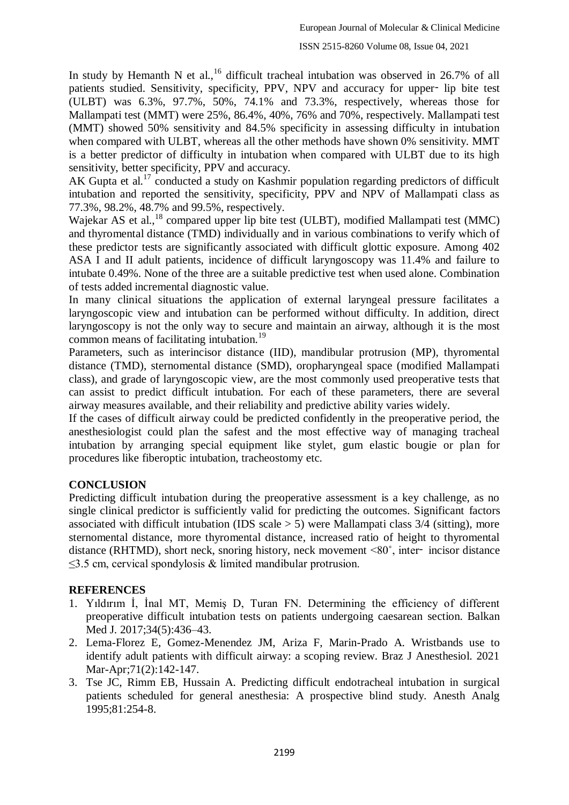In study by Hemanth N et al.,<sup>16</sup> difficult tracheal intubation was observed in 26.7% of all patients studied. Sensitivity, specificity, PPV, NPV and accuracy for upper- lip bite test (ULBT) was 6.3%, 97.7%, 50%, 74.1% and 73.3%, respectively, whereas those for Mallampati test (MMT) were 25%, 86.4%, 40%, 76% and 70%, respectively. Mallampati test (MMT) showed 50% sensitivity and 84.5% specificity in assessing difficulty in intubation when compared with ULBT, whereas all the other methods have shown 0% sensitivity. MMT is a better predictor of difficulty in intubation when compared with ULBT due to its high sensitivity, better specificity, PPV and accuracy.

AK Gupta et al.<sup>17</sup> conducted a study on Kashmir population regarding predictors of difficult intubation and reported the sensitivity, specificity, PPV and NPV of Mallampati class as 77.3%, 98.2%, 48.7% and 99.5%, respectively.

Wajekar AS et al.,<sup>18</sup> compared upper lip bite test (ULBT), modified Mallampati test (MMC) and thyromental distance (TMD) individually and in various combinations to verify which of these predictor tests are significantly associated with difficult glottic exposure. Among 402 ASA I and II adult patients, incidence of difficult laryngoscopy was 11.4% and failure to intubate 0.49%. None of the three are a suitable predictive test when used alone. Combination of tests added incremental diagnostic value.

In many clinical situations the application of external laryngeal pressure facilitates a laryngoscopic view and intubation can be performed without difficulty. In addition, direct laryngoscopy is not the only way to secure and maintain an airway, although it is the most common means of facilitating intubation.<sup>19</sup>

Parameters, such as interincisor distance (IID), mandibular protrusion (MP), thyromental distance (TMD), sternomental distance (SMD), oropharyngeal space (modified Mallampati class), and grade of laryngoscopic view, are the most commonly used preoperative tests that can assist to predict difficult intubation. For each of these parameters, there are several airway measures available, and their reliability and predictive ability varies widely.

If the cases of difficult airway could be predicted confidently in the preoperative period, the anesthesiologist could plan the safest and the most effective way of managing tracheal intubation by arranging special equipment like stylet, gum elastic bougie or plan for procedures like fiberoptic intubation, tracheostomy etc.

## **CONCLUSION**

Predicting difficult intubation during the preoperative assessment is a key challenge, as no single clinical predictor is sufficiently valid for predicting the outcomes. Significant factors associated with difficult intubation (IDS scale  $> 5$ ) were Mallampati class 3/4 (sitting), more sternomental distance, more thyromental distance, increased ratio of height to thyromental distance (RHTMD), short neck, snoring history, neck movement <80˚, inter‑ incisor distance  $\leq$ 3.5 cm, cervical spondylosis & limited mandibular protrusion.

## **REFERENCES**

- 1. Yıldırım İ, İnal MT, Memiş D, Turan FN. Determining the efficiency of different preoperative difficult intubation tests on patients undergoing caesarean section. Balkan Med J. 2017;34(5):436–43.
- 2. Lema-Florez E, Gomez-Menendez JM, Ariza F, Marin-Prado A. Wristbands use to identify adult patients with difficult airway: a scoping review. Braz J Anesthesiol. 2021 Mar-Apr;71(2):142-147.
- 3. Tse JC, Rimm EB, Hussain A. Predicting difficult endotracheal intubation in surgical patients scheduled for general anesthesia: A prospective blind study. Anesth Analg 1995;81:254-8.